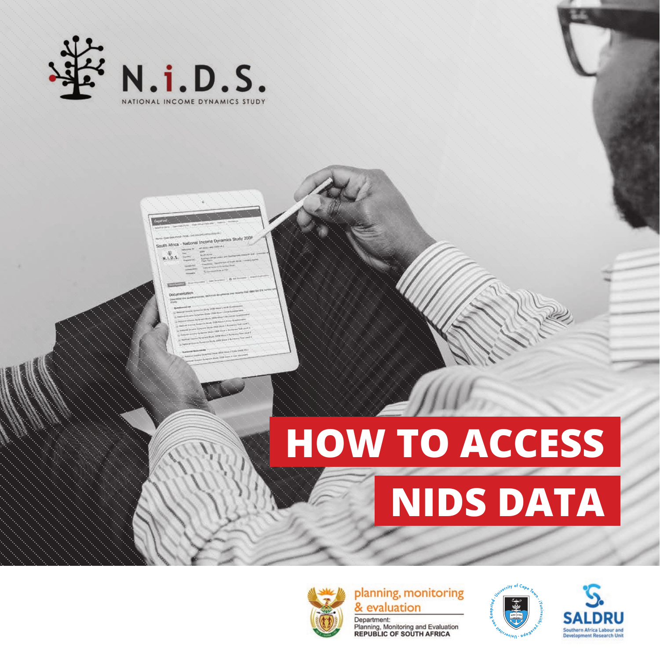



**HOW TO ACCESS** 





planning, monitoring & evaluation

Department: Planning, Monitoring and Evaluation<br>REPUBLIC OF SOUTH AFRICA



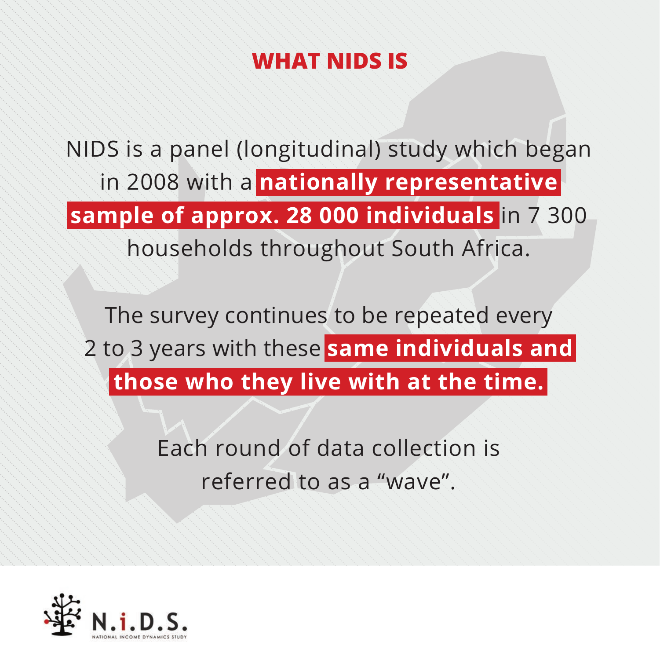## **WHAT NIDS IS**

NIDS is a panel (longitudinal) study which began in 2008 with a **nationally representative sample of approx. 28 000 individuals** in 7 300 households throughout South Africa.

The survey continues to be repeated every 2 to 3 years with these **same individuals and those who they live with at the time.**

> Each round of data collection is referred to as a "wave".

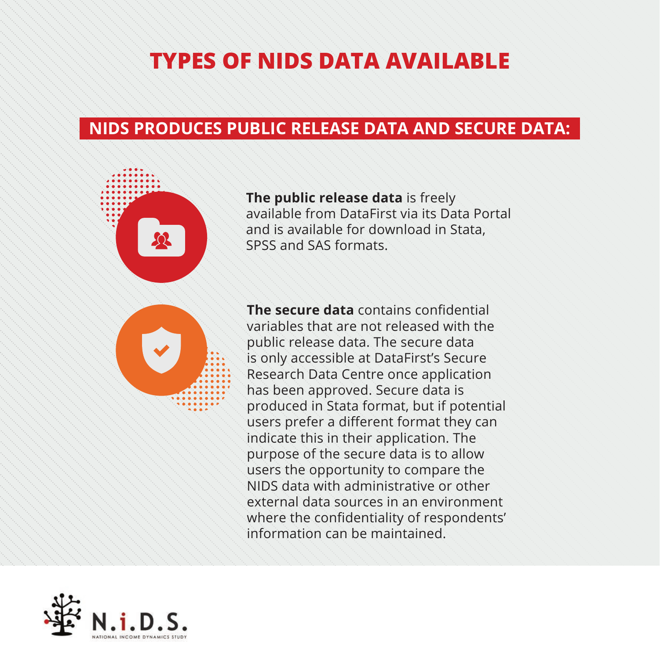## **TYPES OF NIDS DATA AVAILABLE**

#### **NIDS PRODUCES PUBLIC RELEASE DATA AND SECURE DATA:**



**The public release data** is freely available from DataFirst via its Data Portal and is available for download in Stata, SPSS and SAS formats.



**The secure data** contains confidential variables that are not released with the public release data. The secure data is only accessible at DataFirst's Secure Research Data Centre once application has been approved. Secure data is produced in Stata format, but if potential users prefer a different format they can indicate this in their application. The purpose of the secure data is to allow users the opportunity to compare the NIDS data with administrative or other external data sources in an environment where the confidentiality of respondents' information can be maintained.

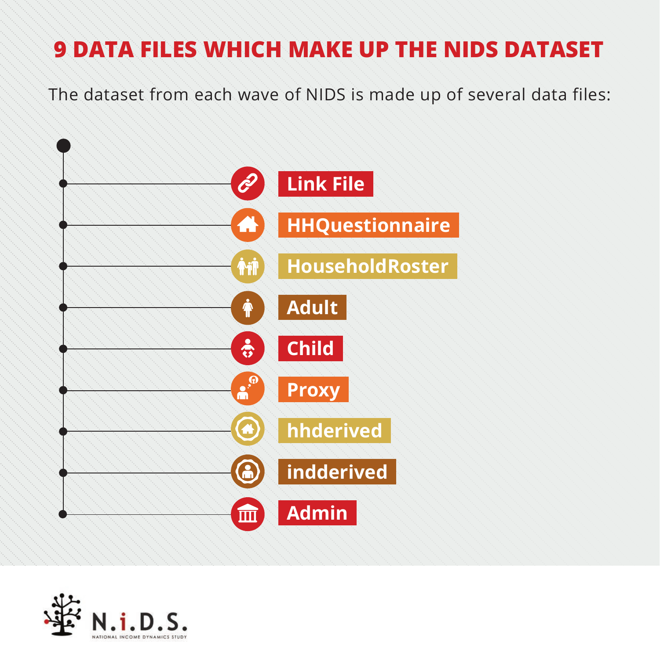The dataset from each wave of NIDS is made up of several data files:



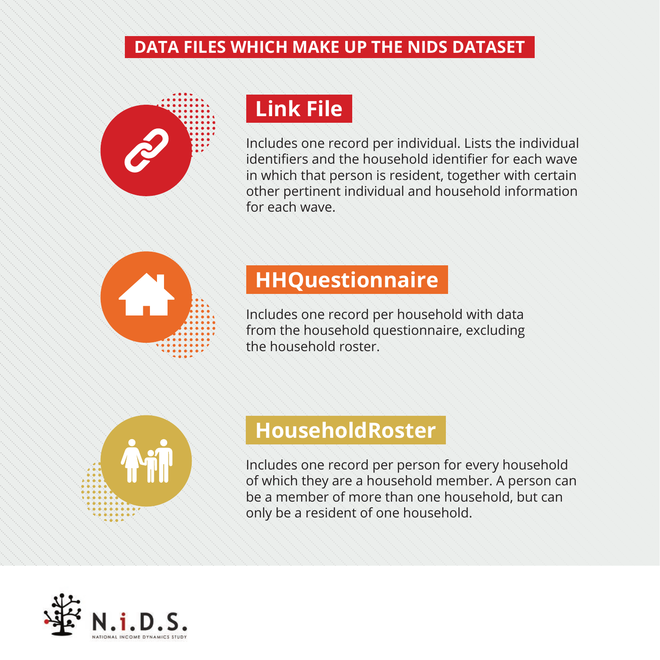

## **Link File**

Includes one record per individual. Lists the individual identifiers and the household identifier for each wave in which that person is resident, together with certain other pertinent individual and household information for each wave.



#### **HHQuestionnaire**

Includes one record per household with data from the household questionnaire, excluding the household roster.



#### **HouseholdRoster**

Includes one record per person for every household of which they are a household member. A person can be a member of more than one household, but can only be a resident of one household.

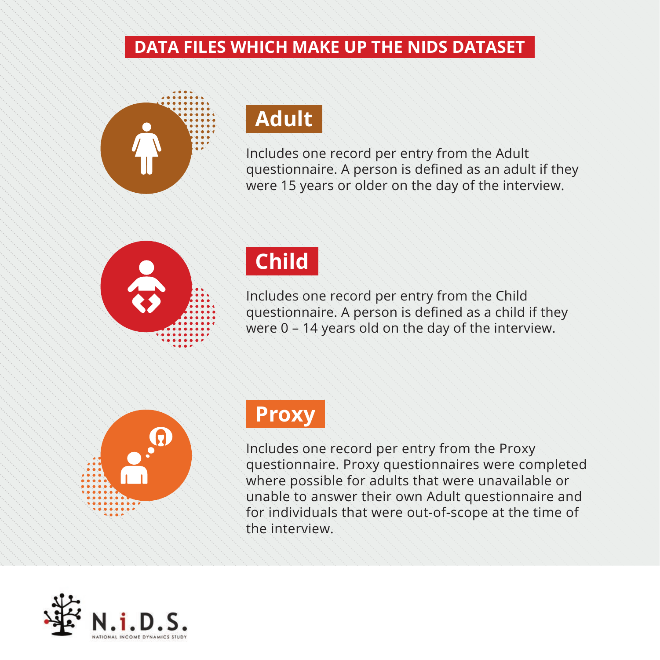

## **Adult**

Includes one record per entry from the Adult questionnaire. A person is defined as an adult if they were 15 years or older on the day of the interview.



## **Child**

Includes one record per entry from the Child questionnaire. A person is defined as a child if they were 0 – 14 years old on the day of the interview.



#### **Proxy**

Includes one record per entry from the Proxy questionnaire. Proxy questionnaires were completed where possible for adults that were unavailable or unable to answer their own Adult questionnaire and for individuals that were out-of-scope at the time of the interview.

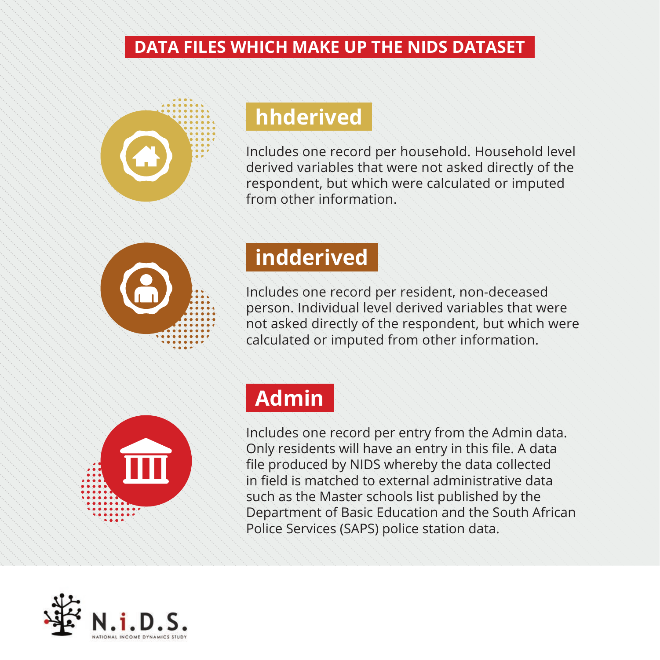

#### **hhderived**

Includes one record per household. Household level derived variables that were not asked directly of the respondent, but which were calculated or imputed from other information.



### **indderived**

Includes one record per resident, non-deceased person. Individual level derived variables that were not asked directly of the respondent, but which were calculated or imputed from other information.



## **Admin**

Includes one record per entry from the Admin data. Only residents will have an entry in this file. A data file produced by NIDS whereby the data collected in field is matched to external administrative data such as the Master schools list published by the Department of Basic Education and the South African Police Services (SAPS) police station data.

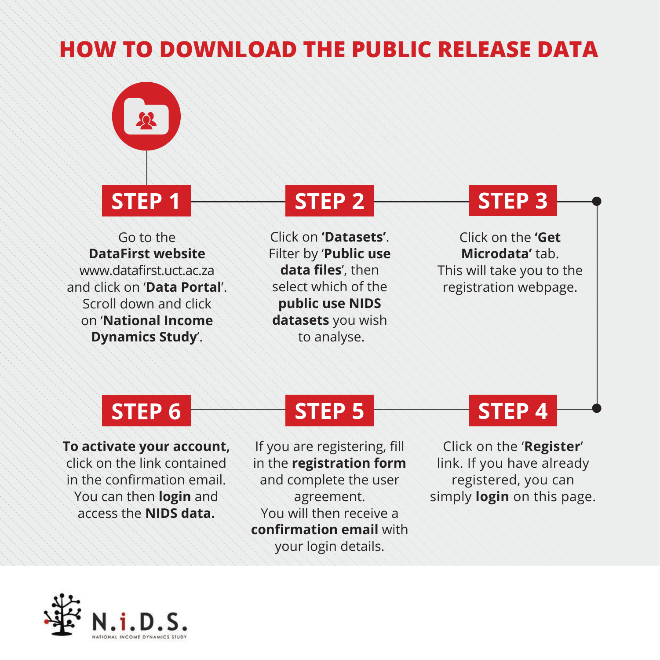

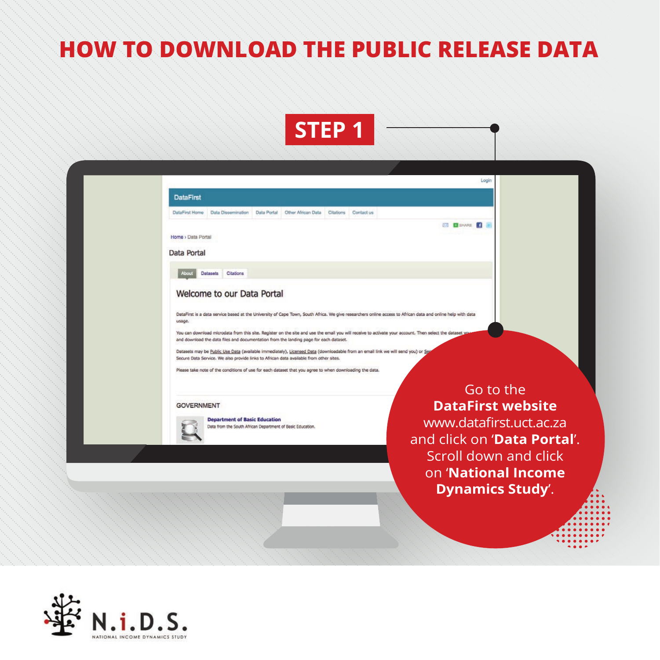



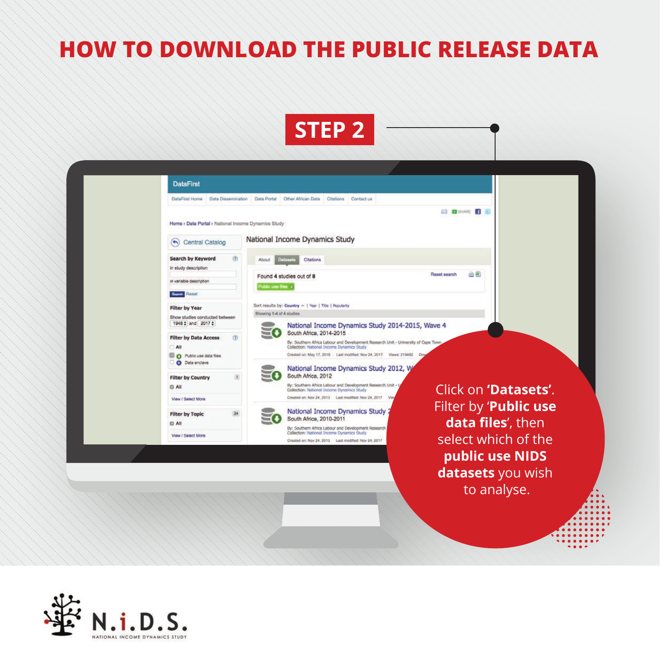



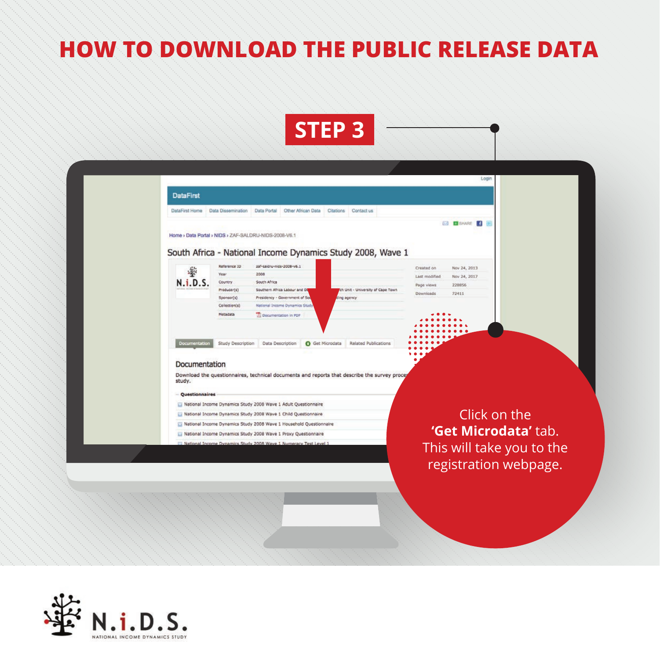

| <b>DataFirst</b> |                                                                                                                                                                                                        |                     |                                                                  |                                                                                             |               |                                      |  |  |
|------------------|--------------------------------------------------------------------------------------------------------------------------------------------------------------------------------------------------------|---------------------|------------------------------------------------------------------|---------------------------------------------------------------------------------------------|---------------|--------------------------------------|--|--|
| DataFirst Home   | Data Dissemination                                                                                                                                                                                     |                     | Data Portal<br>Other African Data                                | Citations<br>Contact us                                                                     |               |                                      |  |  |
|                  |                                                                                                                                                                                                        |                     |                                                                  |                                                                                             |               | <b>EX SHARE</b>                      |  |  |
|                  |                                                                                                                                                                                                        |                     | Home > Data Portal > NIDS > ZAF-SALDRU-NIDS-2008-V6.1            |                                                                                             |               |                                      |  |  |
|                  |                                                                                                                                                                                                        |                     |                                                                  | South Africa - National Income Dynamics Study 2008, Wave 1                                  |               |                                      |  |  |
|                  |                                                                                                                                                                                                        | <b>Keference ID</b> | zaf-saldru-nids-2008-v6.1                                        |                                                                                             | Created on    |                                      |  |  |
|                  | 牽<br>Year                                                                                                                                                                                              |                     | 2008                                                             |                                                                                             | Last modified | Nov 24, 2013<br>Nov 24, 2017         |  |  |
|                  | N.i.D.S.<br><b>Country</b>                                                                                                                                                                             |                     | South Africa                                                     |                                                                                             | Page views    | 228856                               |  |  |
|                  | Producer(s)                                                                                                                                                                                            |                     | Southern Africa Labour and Di                                    | ch Unit - University of Cape Town                                                           | Downloads     | 72411                                |  |  |
|                  | Sponsor(s)<br>Collection(s)                                                                                                                                                                            |                     | Presidency - Government of So<br>National Income Dynamics Study  | ding agency                                                                                 |               |                                      |  |  |
|                  | Metadata                                                                                                                                                                                               |                     | Documentation in PDF                                             |                                                                                             |               |                                      |  |  |
|                  |                                                                                                                                                                                                        |                     |                                                                  |                                                                                             |               |                                      |  |  |
|                  |                                                                                                                                                                                                        |                     |                                                                  |                                                                                             |               |                                      |  |  |
|                  | Documentation                                                                                                                                                                                          | Study Description   | Data Description                                                 | Related Publications<br><b>O</b> Get Microdata                                              |               |                                      |  |  |
|                  |                                                                                                                                                                                                        |                     |                                                                  |                                                                                             |               |                                      |  |  |
|                  | Documentation                                                                                                                                                                                          |                     |                                                                  |                                                                                             |               |                                      |  |  |
|                  |                                                                                                                                                                                                        |                     |                                                                  |                                                                                             |               |                                      |  |  |
| study.           |                                                                                                                                                                                                        |                     |                                                                  | Download the questionnaires, technical documents and reports that describe the survey proce |               |                                      |  |  |
|                  |                                                                                                                                                                                                        |                     |                                                                  |                                                                                             |               |                                      |  |  |
|                  | <b>Questionnaires</b>                                                                                                                                                                                  |                     |                                                                  |                                                                                             |               |                                      |  |  |
|                  |                                                                                                                                                                                                        |                     | National Income Dynamics Study 2008 Wave 1 Adult Questionnaire   |                                                                                             |               |                                      |  |  |
|                  | National Income Dynamics Study 2008 Wave 1 Child Questionnaire<br>National Income Dynamics Study 2008 Wave 1 Household Questionnaire<br>National Income Dynamics Study 2008 Wave 1 Proxy Questionnaire |                     |                                                                  |                                                                                             |               | Click on the<br>'Get Microdata' tab. |  |  |
|                  |                                                                                                                                                                                                        |                     |                                                                  |                                                                                             |               |                                      |  |  |
|                  |                                                                                                                                                                                                        |                     |                                                                  |                                                                                             |               |                                      |  |  |
|                  |                                                                                                                                                                                                        |                     | National Income Dynamics Study 2008 Waye 1 Numeracy Test Level 1 |                                                                                             |               | This will take you to the            |  |  |
|                  |                                                                                                                                                                                                        |                     |                                                                  |                                                                                             |               |                                      |  |  |

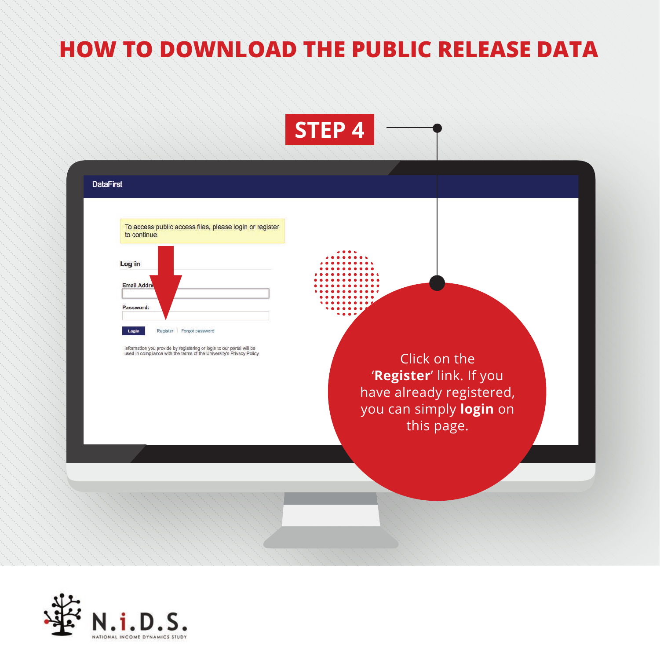

| To access public access files, please login or register<br>to continue.                                                                        |                                       |
|------------------------------------------------------------------------------------------------------------------------------------------------|---------------------------------------|
| Log in                                                                                                                                         |                                       |
| <b>Email Addre</b>                                                                                                                             |                                       |
| Password:                                                                                                                                      |                                       |
| Register Forgot password<br>Login                                                                                                              |                                       |
| Information you provide by registering or login to our portal will be<br>used in compliance with the terms of the University's Privacy Policy. | Click on the                          |
|                                                                                                                                                | 'Register' link. If you               |
|                                                                                                                                                | have already registered,              |
|                                                                                                                                                | you can simply login on<br>this page. |

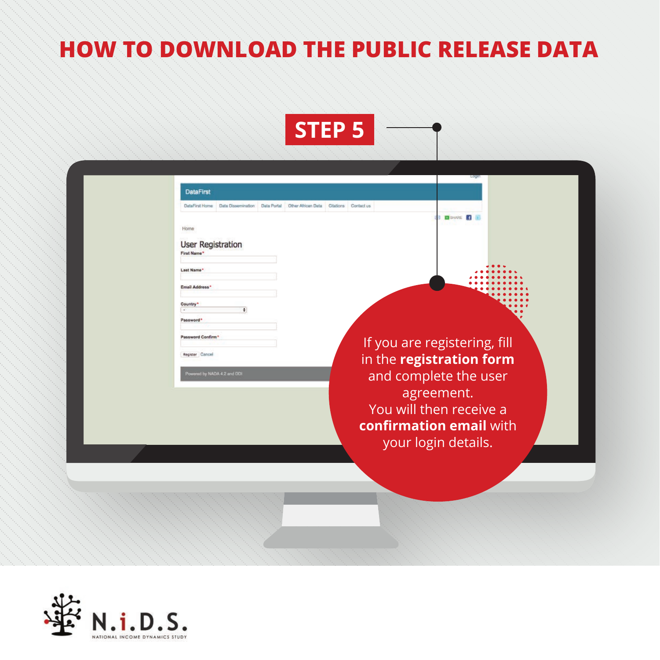

|                                         |                                                                        |  | Logi                                           |  |
|-----------------------------------------|------------------------------------------------------------------------|--|------------------------------------------------|--|
| <b>DataFirst</b>                        |                                                                        |  |                                                |  |
| <b>DataFirst Home</b>                   | Data Dissemination Data Portal Other African Data Citations Contact us |  |                                                |  |
| Home                                    |                                                                        |  | <b>B</b> BRANKE                                |  |
| <b>User Registration</b><br>First Name* |                                                                        |  |                                                |  |
| Last Name*                              |                                                                        |  |                                                |  |
| Email Address*                          |                                                                        |  |                                                |  |
| Country*<br>Password*                   | ٠                                                                      |  |                                                |  |
| Password Confirm'                       |                                                                        |  | If you are registering, fill                   |  |
| Register Cancel                         |                                                                        |  | in the registration form                       |  |
|                                         | Powered by NADA 4.2 and DDI                                            |  | and complete the user                          |  |
|                                         |                                                                        |  | agreement.                                     |  |
|                                         |                                                                        |  | You will then receive a                        |  |
|                                         |                                                                        |  | confirmation email with<br>your login details. |  |
|                                         |                                                                        |  |                                                |  |
|                                         |                                                                        |  |                                                |  |

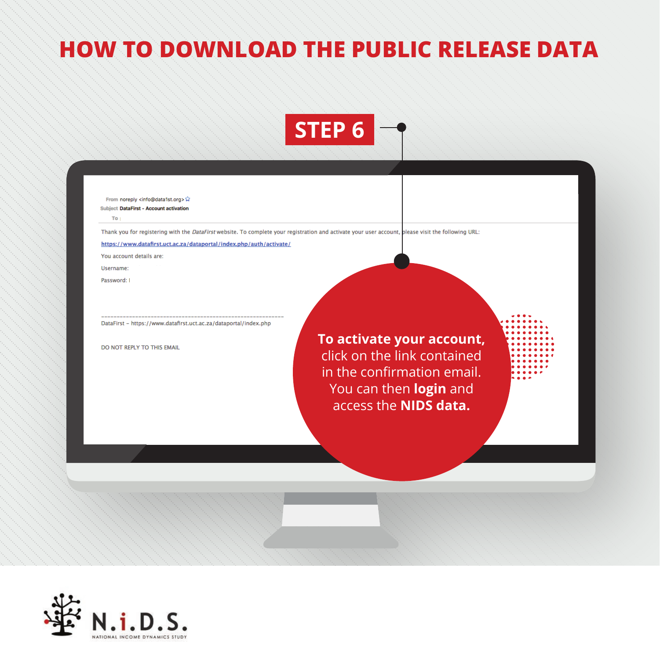

From noreply <info@data1st.org> **Subject DataFirst - Account activation** 

To.

Thank you for registering with the DataFirst website. To complete your registration and activate your user account, please visit the following URL:

https://www.datafirst.uct.ac.za/dataportal/index.php/auth/activate/

You account details are:

Username:

Password: I

DataFirst - https://www.datafirst.uct.ac.za/dataportal/index.php

DO NOT REPLY TO THIS EMAIL

**To activate your account,**  click on the link contained in the confirmation email. You can then **login** and access the **NIDS data.**

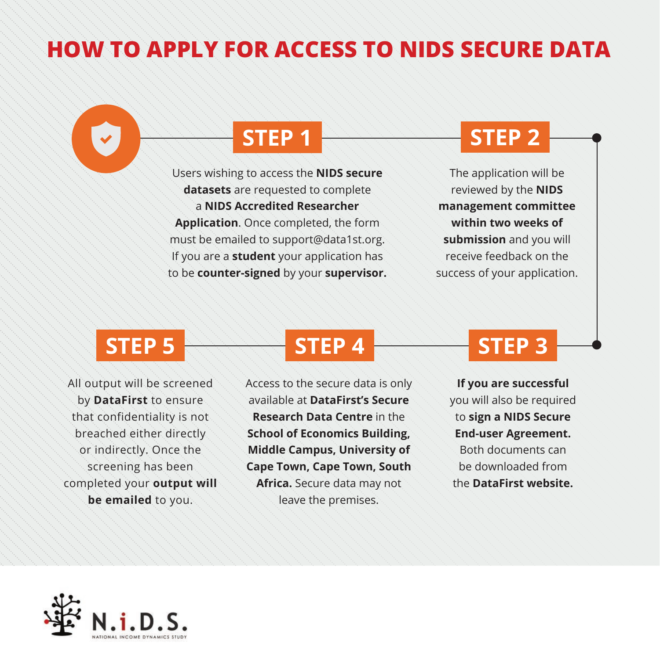### **HOW TO APPLY FOR ACCESS TO NIDS SECURE DATA**

Users wishing to access the **NIDS secure datasets** are requested to complete a **NIDS Accredited Researcher Application**. Once completed, the form must be emailed to support@data1st.org. If you are a **student** your application has to be **counter-signed** by your **supervisor.**

## **STEP 1 STEP 2**

The application will be reviewed by the **NIDS management committee within two weeks of submission** and you will receive feedback on the success of your application.

All output will be screened by **DataFirst** to ensure that confidentiality is not breached either directly or indirectly. Once the screening has been completed your **output will be emailed** to you.

## **STEP 5 STEP 4** STEP 4 STEP 3

Access to the secure data is only available at **DataFirst's Secure Research Data Centre** in the **School of Economics Building, Middle Campus, University of Cape Town, Cape Town, South Africa.** Secure data may not leave the premises.

**If you are successful** you will also be required to **sign a NIDS Secure End-user Agreement.**  Both documents can be downloaded from the **DataFirst website.**

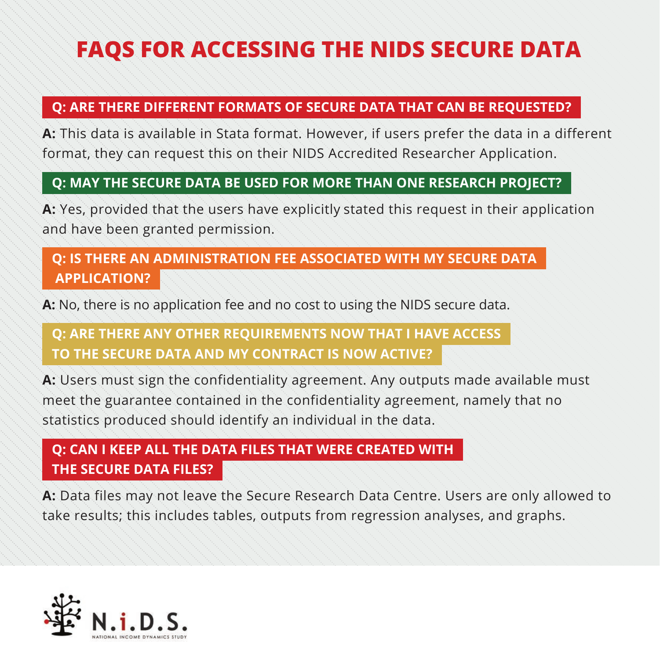## **FAQS FOR ACCESSING THE NIDS SECURE DATA**

#### **Q: ARE THERE DIFFERENT FORMATS OF SECURE DATA THAT CAN BE REQUESTED?**

**A:** This data is available in Stata format. However, if users prefer the data in a different format, they can request this on their NIDS Accredited Researcher Application.

#### **Q: MAY THE SECURE DATA BE USED FOR MORE THAN ONE RESEARCH PROJECT?**

**A:** Yes, provided that the users have explicitly stated this request in their application and have been granted permission.

#### **Q: IS THERE AN ADMINISTRATION FEE ASSOCIATED WITH MY SECURE DATA APPLICATION?**

**A:** No, there is no application fee and no cost to using the NIDS secure data.

#### **Q: ARE THERE ANY OTHER REQUIREMENTS NOW THAT I HAVE ACCESS TO THE SECURE DATA AND MY CONTRACT IS NOW ACTIVE?**

**A:** Users must sign the confidentiality agreement. Any outputs made available must meet the guarantee contained in the confidentiality agreement, namely that no statistics produced should identify an individual in the data.

#### **Q: CAN I KEEP ALL THE DATA FILES THAT WERE CREATED WITH THE SECURE DATA FILES?**

A: Data files may not leave the Secure Research Data Centre. Users are only allowed to take results; this includes tables, outputs from regression analyses, and graphs.